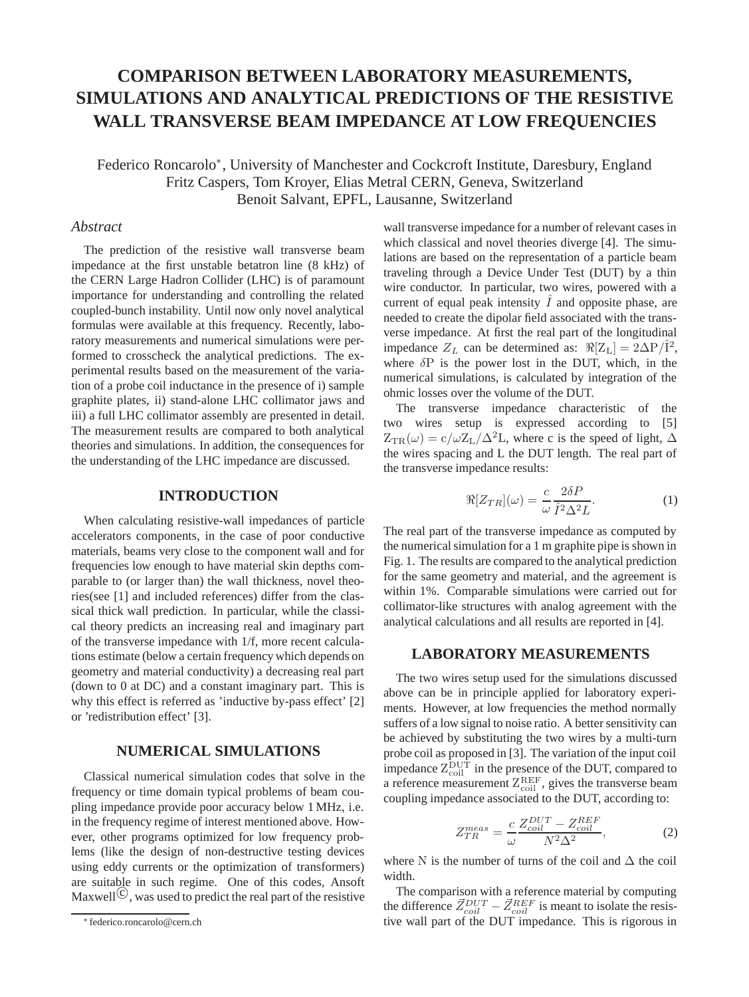# **COMPARISON BETWEEN LABORATORY MEASUREMENTS, SIMULATIONS AND ANALYTICAL PREDICTIONS OF THE RESISTIVE WALL TRANSVERSE BEAM IMPEDANCE AT LOW FREQUENCIES**

Federico Roncarolo∗, University of Manchester and Cockcroft Institute, Daresbury, England Fritz Caspers, Tom Kroyer, Elias Metral CERN, Geneva, Switzerland Benoit Salvant, EPFL, Lausanne, Switzerland

# *Abstract*

The prediction of the resistive wall transverse beam impedance at the first unstable betatron line (8 kHz) of the CERN Large Hadron Collider (LHC) is of paramount importance for understanding and controlling the related coupled-bunch instability. Until now only novel analytical formulas were available at this frequency. Recently, laboratory measurements and numerical simulations were performed to crosscheck the analytical predictions. The experimental results based on the measurement of the variation of a probe coil inductance in the presence of i) sample graphite plates, ii) stand-alone LHC collimator jaws and iii) a full LHC collimator assembly are presented in detail. The measurement results are compared to both analytical theories and simulations. In addition, the consequences for the understanding of the LHC impedance are discussed.

## **INTRODUCTION**

When calculating resistive-wall impedances of particle accelerators components, in the case of poor conductive materials, beams very close to the component wall and for frequencies low enough to have material skin depths comparable to (or larger than) the wall thickness, novel theories(see [1] and included references) differ from the classical thick wall prediction. In particular, while the classical theory predicts an increasing real and imaginary part of the transverse impedance with 1/f, more recent calculations estimate (below a certain frequency which depends on geometry and material conductivity) a decreasing real part (down to 0 at DC) and a constant imaginary part. This is why this effect is referred as 'inductive by-pass effect' [2] or 'redistribution effect' [3].

# **NUMERICAL SIMULATIONS**

Classical numerical simulation codes that solve in the frequency or time domain typical problems of beam coupling impedance provide poor accuracy below 1 MHz, i.e. in the frequency regime of interest mentioned above. However, other programs optimized for low frequency problems (like the design of non-destructive testing devices using eddy currents or the optimization of transformers) are suitable in such regime. One of this codes, Ansoft Maxwell<sup> $\circled{c}$ </sup>, was used to predict the real part of the resistive

wall transverse impedance for a number of relevant cases in which classical and novel theories diverge [4]. The simulations are based on the representation of a particle beam traveling through a Device Under Test (DUT) by a thin wire conductor. In particular, two wires, powered with a current of equal peak intensity  $\tilde{I}$  and opposite phase, are needed to create the dipolar field associated with the transverse impedance. At first the real part of the longitudinal impedance  $Z_L$  can be determined as:  $\Re[Z_L] = 2\Delta P/\hat{I}^2$ , where  $\delta P$  is the power lost in the DUT, which, in the numerical simulations, is calculated by integration of the ohmic losses over the volume of the DUT.

The transverse impedance characteristic of the two wires setup is expressed according to [5]  $Z_{TR}(\omega) = c/\omega Z_L/\Delta^2 L$ , where c is the speed of light,  $\Delta$ the wires spacing and L the DUT length. The real part of the transverse impedance results:

$$
\Re[Z_{TR}](\omega) = \frac{c}{\omega} \frac{2\delta P}{\hat{I}^2 \Delta^2 L}.
$$
 (1)

The real part of the transverse impedance as computed by the numerical simulation for a 1 m graphite pipe is shown in Fig. 1. The results are compared to the analytical prediction for the same geometry and material, and the agreement is within 1%. Comparable simulations were carried out for collimator-like structures with analog agreement with the analytical calculations and all results are reported in [4].

## **LABORATORY MEASUREMENTS**

The two wires setup used for the simulations discussed above can be in principle applied for laboratory experiments. However, at low frequencies the method normally suffers of a low signal to noise ratio. A better sensitivity can be achieved by substituting the two wires by a multi-turn probe coil as proposed in [3]. The variation of the input coil impedance  $Z_{\text{coil}}^{\text{DUT}}$  in the presence of the DUT, compared to a reference measurement  $Z_{\text{coil}}^{\text{REF}}$ , gives the transverse beam coupling impedance associated to the DUT, according to:

$$
Z_{TR}^{meas} = \frac{c}{\omega} \frac{Z_{coil}^{DUT} - Z_{coil}^{REF}}{N^2 \Delta^2},\tag{2}
$$

where N is the number of turns of the coil and  $\Delta$  the coil width.

The comparison with a reference material by computing the difference  $\vec{Z}_{coil}^{DUT} - \vec{Z}_{coil}^{REF}$  is meant to isolate the resistive wall part of the DUT impedance. This is rigorous in

<sup>∗</sup> federico.roncarolo@cern.ch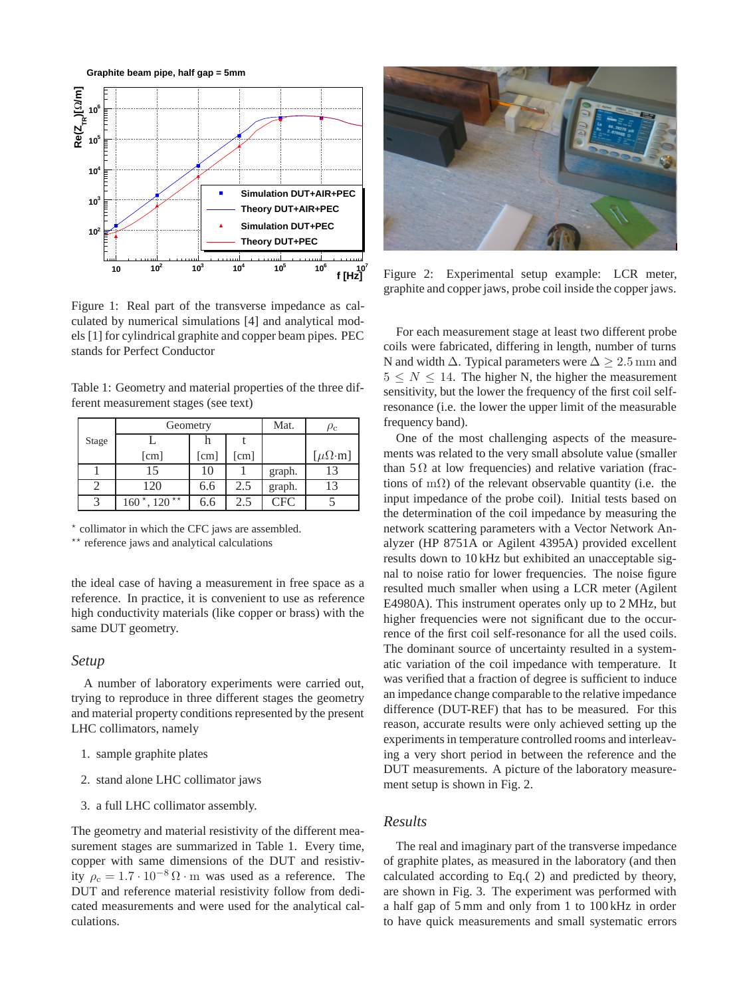**Graphite beam pipe, half gap = 5mm**



Figure 1: Real part of the transverse impedance as calculated by numerical simulations [4] and analytical models [1] for cylindrical graphite and copper beam pipes. PEC stands for Perfect Conductor

Table 1: Geometry and material properties of the three different measurement stages (see text)

|       | Geometry                          |                      |                      | Mat.       | $\rho_{\rm c}$        |
|-------|-----------------------------------|----------------------|----------------------|------------|-----------------------|
| Stage |                                   |                      |                      |            |                       |
|       | $\lceil$ cm $\rceil$              | $\lceil$ cm $\rceil$ | $\lceil$ cm $\rceil$ |            | $[\mu\Omega \cdot m]$ |
|       | 15                                | 10                   |                      | graph.     | 13                    |
|       | 120                               | 6.6                  | 2.5                  | graph.     | 13                    |
|       | $160^{\star}$ , 120 <sup>**</sup> | 6.6                  | 2.5                  | <b>CFC</b> |                       |

\* collimator in which the CFC jaws are assembled.

\*\* reference jaws and analytical calculations

the ideal case of having a measurement in free space as a reference. In practice, it is convenient to use as reference high conductivity materials (like copper or brass) with the same DUT geometry.

#### *Setup*

A number of laboratory experiments were carried out, trying to reproduce in three different stages the geometry and material property conditions represented by the present LHC collimators, namely

- 1. sample graphite plates
- 2. stand alone LHC collimator jaws
- 3. a full LHC collimator assembly.

The geometry and material resistivity of the different measurement stages are summarized in Table 1. Every time, copper with same dimensions of the DUT and resistivity  $\rho_c = 1.7 \cdot 10^{-8} \Omega \cdot m$  was used as a reference. The DUT and reference material resistivity follow from dedicated measurements and were used for the analytical calculations.



Figure 2: Experimental setup example: LCR meter, graphite and copper jaws, probe coil inside the copper jaws.

For each measurement stage at least two different probe coils were fabricated, differing in length, number of turns N and width  $\Delta$ . Typical parameters were  $\Delta \geq 2.5$  mm and  $5 \leq N \leq 14$ . The higher N, the higher the measurement sensitivity, but the lower the frequency of the first coil selfresonance (i.e. the lower the upper limit of the measurable frequency band).

One of the most challenging aspects of the measurements was related to the very small absolute value (smaller than  $5 \Omega$  at low frequencies) and relative variation (fractions of m $\Omega$ ) of the relevant observable quantity (i.e. the input impedance of the probe coil). Initial tests based on the determination of the coil impedance by measuring the network scattering parameters with a Vector Network Analyzer (HP 8751A or Agilent 4395A) provided excellent results down to 10 kHz but exhibited an unacceptable signal to noise ratio for lower frequencies. The noise figure resulted much smaller when using a LCR meter (Agilent E4980A). This instrument operates only up to 2 MHz, but higher frequencies were not significant due to the occurrence of the first coil self-resonance for all the used coils. The dominant source of uncertainty resulted in a systematic variation of the coil impedance with temperature. It was verified that a fraction of degree is sufficient to induce an impedance change comparable to the relative impedance difference (DUT-REF) that has to be measured. For this reason, accurate results were only achieved setting up the experiments in temperature controlled rooms and interleaving a very short period in between the reference and the DUT measurements. A picture of the laboratory measurement setup is shown in Fig. 2.

# *Results*

The real and imaginary part of the transverse impedance of graphite plates, as measured in the laboratory (and then calculated according to Eq.( 2) and predicted by theory, are shown in Fig. 3. The experiment was performed with a half gap of 5 mm and only from 1 to 100 kHz in order to have quick measurements and small systematic errors